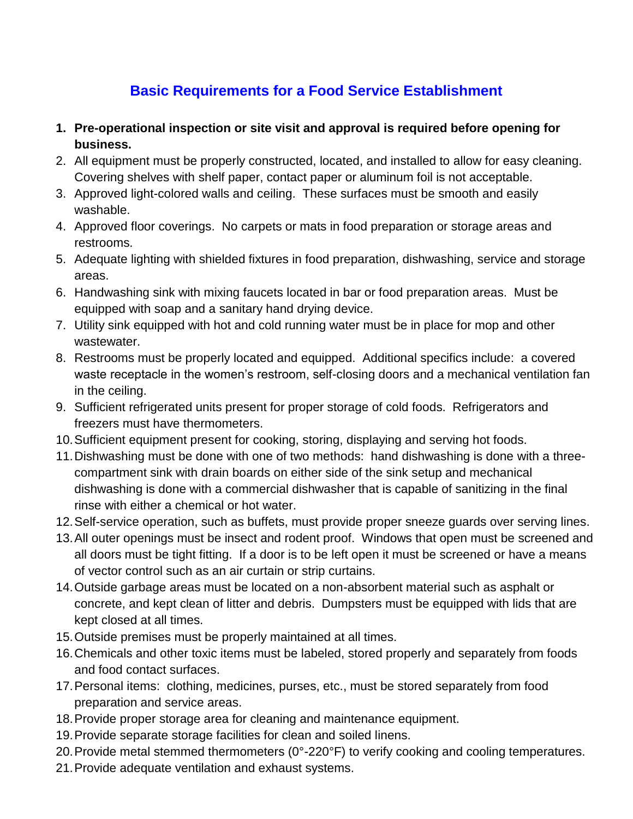## **Basic Requirements for a Food Service Establishment**

- **1. Pre-operational inspection or site visit and approval is required before opening for business.**
- 2. All equipment must be properly constructed, located, and installed to allow for easy cleaning. Covering shelves with shelf paper, contact paper or aluminum foil is not acceptable.
- 3. Approved light-colored walls and ceiling. These surfaces must be smooth and easily washable.
- 4. Approved floor coverings. No carpets or mats in food preparation or storage areas and restrooms.
- 5. Adequate lighting with shielded fixtures in food preparation, dishwashing, service and storage areas.
- 6. Handwashing sink with mixing faucets located in bar or food preparation areas. Must be equipped with soap and a sanitary hand drying device.
- 7. Utility sink equipped with hot and cold running water must be in place for mop and other wastewater.
- 8. Restrooms must be properly located and equipped. Additional specifics include: a covered waste receptacle in the women's restroom, self-closing doors and a mechanical ventilation fan in the ceiling.
- 9. Sufficient refrigerated units present for proper storage of cold foods. Refrigerators and freezers must have thermometers.
- 10.Sufficient equipment present for cooking, storing, displaying and serving hot foods.
- 11.Dishwashing must be done with one of two methods: hand dishwashing is done with a threecompartment sink with drain boards on either side of the sink setup and mechanical dishwashing is done with a commercial dishwasher that is capable of sanitizing in the final rinse with either a chemical or hot water.
- 12.Self-service operation, such as buffets, must provide proper sneeze guards over serving lines.
- 13.All outer openings must be insect and rodent proof. Windows that open must be screened and all doors must be tight fitting. If a door is to be left open it must be screened or have a means of vector control such as an air curtain or strip curtains.
- 14.Outside garbage areas must be located on a non-absorbent material such as asphalt or concrete, and kept clean of litter and debris. Dumpsters must be equipped with lids that are kept closed at all times.
- 15.Outside premises must be properly maintained at all times.
- 16.Chemicals and other toxic items must be labeled, stored properly and separately from foods and food contact surfaces.
- 17.Personal items: clothing, medicines, purses, etc., must be stored separately from food preparation and service areas.
- 18.Provide proper storage area for cleaning and maintenance equipment.
- 19.Provide separate storage facilities for clean and soiled linens.
- 20.Provide metal stemmed thermometers (0°-220°F) to verify cooking and cooling temperatures.
- 21.Provide adequate ventilation and exhaust systems.